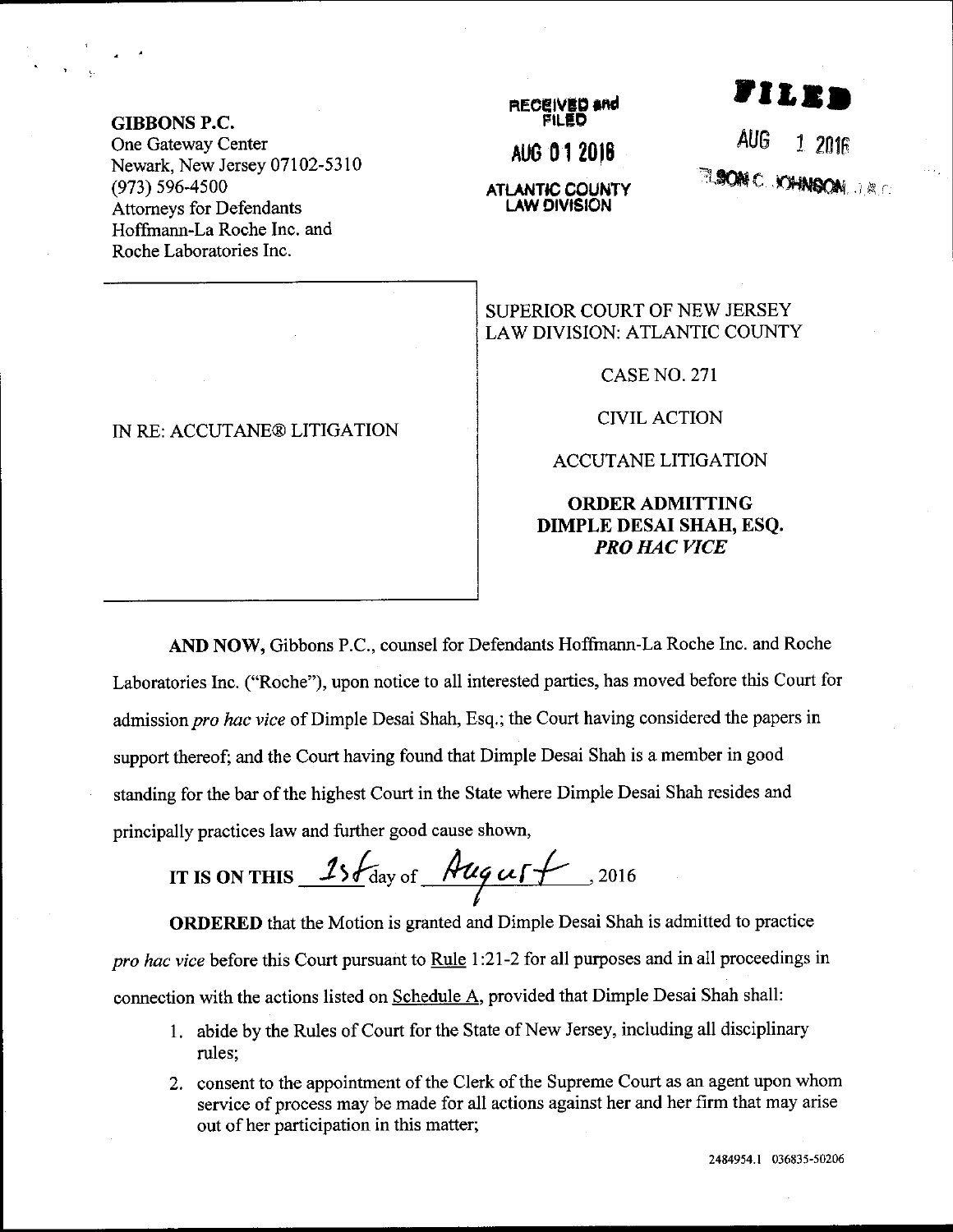GIBBONS P.C. One Gateway Center Newark, New Jersey 07102-5310 (973) s96-4500 Attomeys for Defendants Hoffrnann-La Roche Inc. and Roche Laboratories Inc.

## IN RE: ACCUTANE@ LITIGATION

## RECEIVED <del>and</del> FILEO AUo 01 2010 **ATLANTIC COUNTY**

**LAW DIVISION** 

AUG **RANC .kanson** .r.c

i i e

SUPERIOR COURT OF NEW JERSEY

LAW DIVISION: ATLANTIC COUNTY

CASE NO. 27I

CIVIL ACTION

ACCUTANE LITIGATION

## ORDERADMITTING DIMPLE DESAI SHAH, ESQ. PRO HAC VICE

AND NOW, Gibbons P.C., counsel for Defendants Hofftnann-La Roche Inc. and Roche Laboratories Inc. ("Roche"), upon notice to all interested parties, has moved before this Court for admission pro hac vice of Dimple Desai Shah, Esq.; the Court having considered the papers in support thereof; and the Court having found that Dimple Desai Shah is a member in good standing for the bar of the highest Court in the State where Dimple Desai Shah resides and principally practices law and further good cause shown,

IT IS ON THIS  $15\sqrt{\frac{4uq}{u}}$   $15\sqrt{\frac{4uq}{u}}$ , 2016

ORDERED that the Motion is granted and Dimple Desai Shah is admitted to practice pro hac vice before this Court pursuant to Rule 1:21-2 for all purposes and in all proceedings in connection with the actions listed on Schedule A, provided that Dimple Desai Shah shall:

- 1. abide by the Rules of Court for the State of New Jersey, including all disciplinary rules;
- 2. consent to the appointment of the Clerk of the Supreme Court as an agent upon whom service of process may be made for all actions against her and her firm that may arise out of her participation in this matter;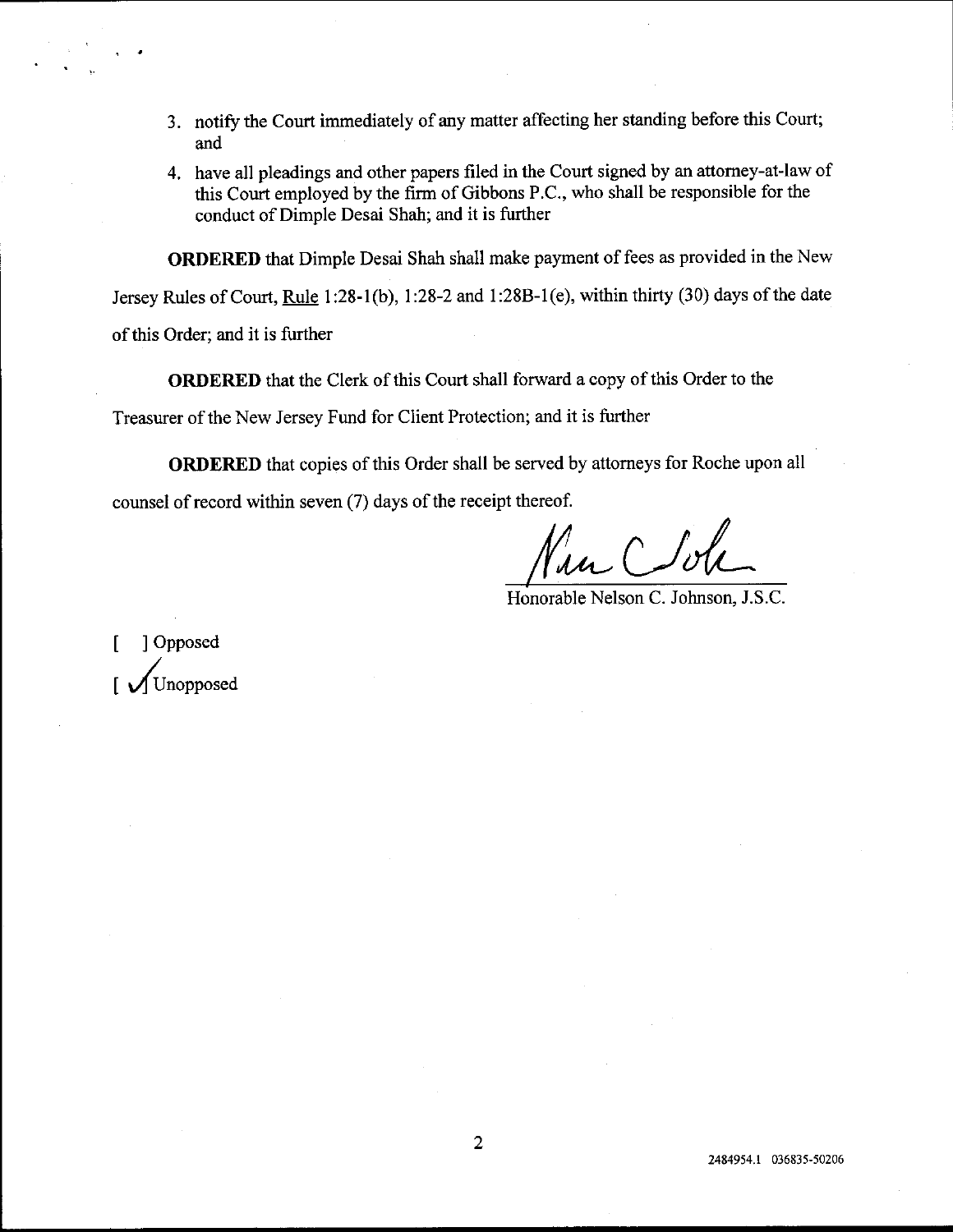- 3. notify the Court immediately of any matter affecting her standing before this Court; and
- 4. have all pleadings and other papers filed in the Court signed by an attorney-at-law of this Court employed by the firm of Gibbons P.C., who shall be responsible for the conduct of Dimple Desai Shah; and it is further

ORDERED that Dimple Desai Shah sha1l make payrnent of fees as provided in the New Jersey Rules of Court, Rule 1:28-l (b), 1:28-2 and 1 :288-1(e), within thirty (30) days of the date

of this Order; and it is further

ORDERED that the Clerk of this Court shall forward a copy of this Order to the

Treasurer of the New Jersey Fund for Client Protection; and it is further

ORDERED that copies of this Order shall be served by attorneys for Roche upon all counsel of record within seven  $(7)$  days of the receipt thereof.

Honorable Nelson C. Johnson, J.S.C.

[ ] Opposed I Unopposed